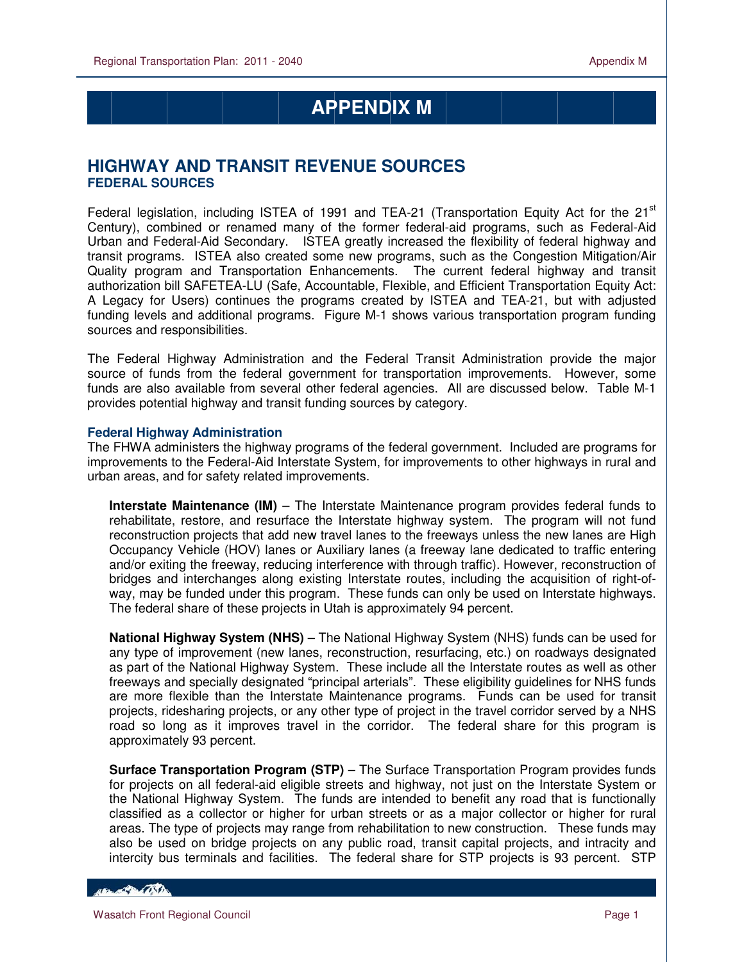# **APPENDIX M**

# **HIGHWAY AND TRANSIT REVENUE SOURCES FEDERAL SOURCES**

Federal legislation, including ISTEA of 1991 and TEA-21 (Transportation Equity Act for the  $21<sup>st</sup>$ Century), combined or renamed many of the former federal-aid programs, such as Federal-Aid Urban and Federal-Aid Secondary. ISTEA greatly increased the flexibility of federal highway and transit programs. ISTEA also created some new programs, such as the Congestion Mitigation/Air Quality program and Transportation Enhancements. The current federal highway and transit authorization bill SAFETEA-LU (Safe, Accountable, Flexible, and Efficient Transportation Equity Act: A Legacy for Users) continues the programs created by ISTEA and TEA-21, but with adjusted funding levels and additional programs. Figure M-1 shows various transportation program funding sources and responsibilities.

The Federal Highway Administration and the Federal Transit Administration provide the major source of funds from the federal government for transportation improvements. However, some funds are also available from several other federal agencies. All are discussed below. Table M-1 provides potential highway and transit funding sources by category.

#### **Federal Highway Administration**

The FHWA administers the highway programs of the federal government. Included are programs for improvements to the Federal-Aid Interstate System, for improvements to other highways in rural and urban areas, and for safety related improvements.

**Interstate Maintenance (IM)** – The Interstate Maintenance program provides federal funds to rehabilitate, restore, and resurface the Interstate highway system. The program will not fund reconstruction projects that add new travel lanes to the freeways unless the new lanes are High Occupancy Vehicle (HOV) lanes or Auxiliary lanes (a freeway lane dedicated to traffic entering and/or exiting the freeway, reducing interference with through traffic). However, reconstruction of bridges and interchanges along existing Interstate routes, including the acquisition of right-ofway, may be funded under this program. These funds can only be used on Interstate highways. The federal share of these projects in Utah is approximately 94 percent.

**National Highway System (NHS)** – The National Highway System (NHS) funds can be used for any type of improvement (new lanes, reconstruction, resurfacing, etc.) on roadways designated as part of the National Highway System. These include all the Interstate routes as well as other freeways and specially designated "principal arterials". These eligibility guidelines for NHS funds are more flexible than the Interstate Maintenance programs. Funds can be used for transit projects, ridesharing projects, or any other type of project in the travel corridor served by a NHS road so long as it improves travel in the corridor. The federal share for this program is approximately 93 percent.

**Surface Transportation Program (STP)** – The Surface Transportation Program provides funds for projects on all federal-aid eligible streets and highway, not just on the Interstate System or the National Highway System. The funds are intended to benefit any road that is functionally classified as a collector or higher for urban streets or as a major collector or higher for rural areas. The type of projects may range from rehabilitation to new construction. These funds may also be used on bridge projects on any public road, transit capital projects, and intracity and intercity bus terminals and facilities. The federal share for STP projects is 93 percent. STP

**CONTRACTOR**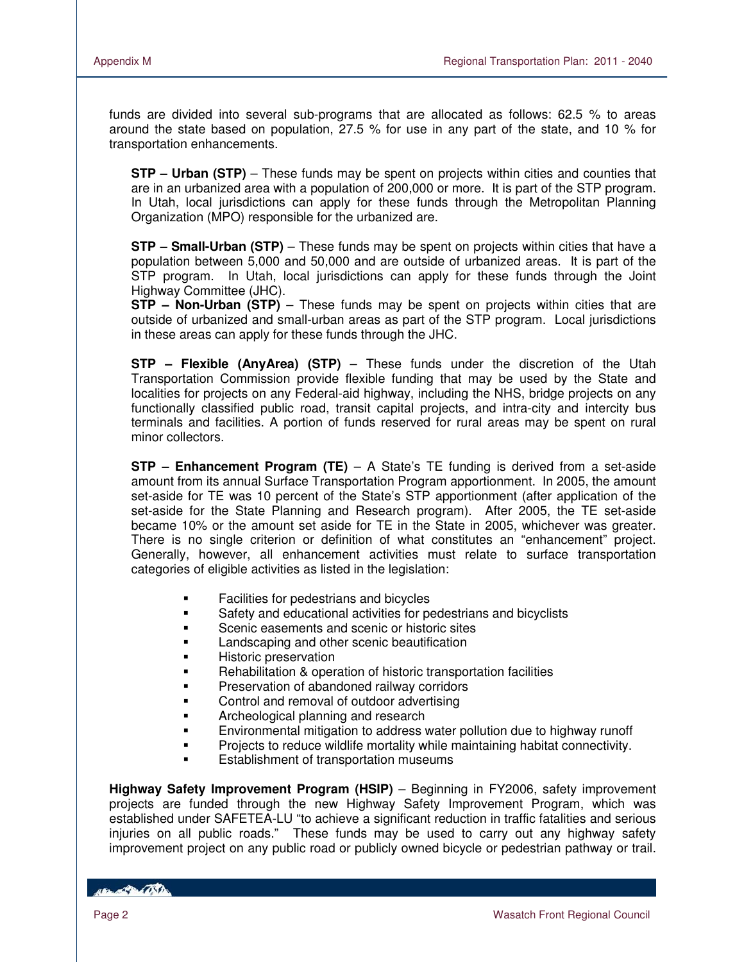funds are divided into several sub-programs that are allocated as follows: 62.5 % to areas around the state based on population, 27.5 % for use in any part of the state, and 10 % for transportation enhancements.

**STP – Urban (STP)** – These funds may be spent on projects within cities and counties that are in an urbanized area with a population of 200,000 or more. It is part of the STP program. In Utah, local jurisdictions can apply for these funds through the Metropolitan Planning Organization (MPO) responsible for the urbanized are.

**STP – Small-Urban (STP)** – These funds may be spent on projects within cities that have a population between 5,000 and 50,000 and are outside of urbanized areas. It is part of the STP program. In Utah, local jurisdictions can apply for these funds through the Joint Highway Committee (JHC).

**STP – Non-Urban (STP)** – These funds may be spent on projects within cities that are outside of urbanized and small-urban areas as part of the STP program. Local jurisdictions in these areas can apply for these funds through the JHC.

**STP – Flexible (AnyArea) (STP)** – These funds under the discretion of the Utah Transportation Commission provide flexible funding that may be used by the State and localities for projects on any Federal-aid highway, including the NHS, bridge projects on any functionally classified public road, transit capital projects, and intra-city and intercity bus terminals and facilities. A portion of funds reserved for rural areas may be spent on rural minor collectors.

**STP – Enhancement Program (TE)** – A State's TE funding is derived from a set-aside amount from its annual Surface Transportation Program apportionment. In 2005, the amount set-aside for TE was 10 percent of the State's STP apportionment (after application of the set-aside for the State Planning and Research program). After 2005, the TE set-aside became 10% or the amount set aside for TE in the State in 2005, whichever was greater. There is no single criterion or definition of what constitutes an "enhancement" project. Generally, however, all enhancement activities must relate to surface transportation categories of eligible activities as listed in the legislation:

- **Facilities for pedestrians and bicycles**
- Safety and educational activities for pedestrians and bicyclists
- Scenic easements and scenic or historic sites
- Landscaping and other scenic beautification
- Historic preservation
- Rehabilitation & operation of historic transportation facilities
- Preservation of abandoned railway corridors
- Control and removal of outdoor advertising
- Archeological planning and research
- Environmental mitigation to address water pollution due to highway runoff
- Projects to reduce wildlife mortality while maintaining habitat connectivity.
- Establishment of transportation museums

**Highway Safety Improvement Program (HSIP)** – Beginning in FY2006, safety improvement projects are funded through the new Highway Safety Improvement Program, which was established under SAFETEA-LU "to achieve a significant reduction in traffic fatalities and serious injuries on all public roads." These funds may be used to carry out any highway safety improvement project on any public road or publicly owned bicycle or pedestrian pathway or trail.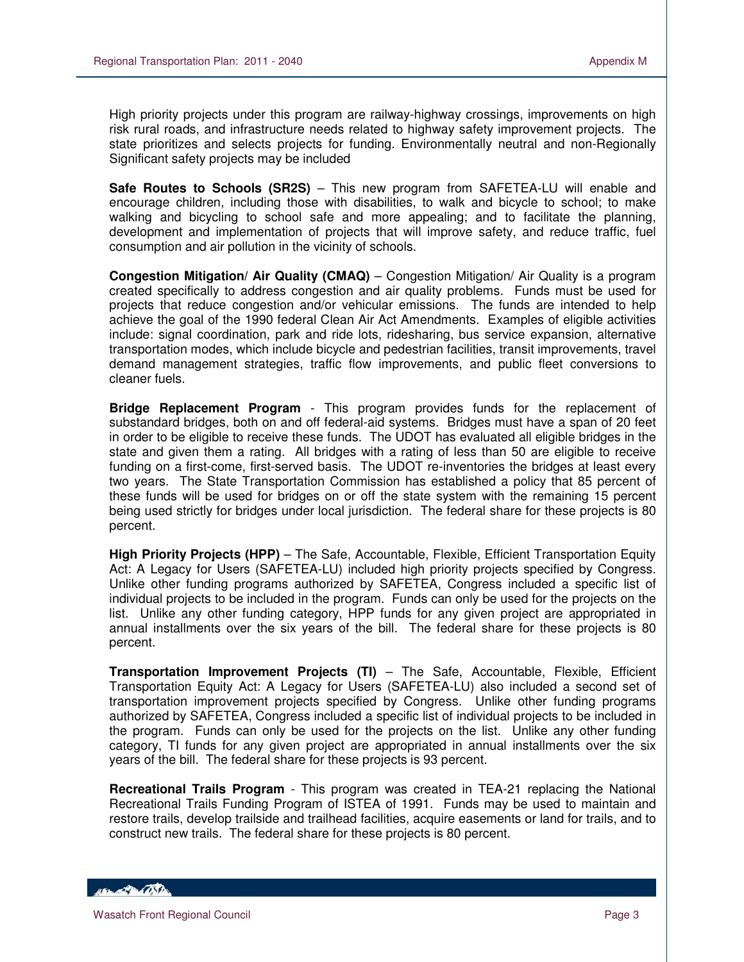High priority projects under this program are railway-highway crossings, improvements on high risk rural roads, and infrastructure needs related to highway safety improvement projects. The state prioritizes and selects projects for funding. Environmentally neutral and non-Regionally Significant safety projects may be included

**Safe Routes to Schools (SR2S)** – This new program from SAFETEA-LU will enable and encourage children, including those with disabilities, to walk and bicycle to school; to make walking and bicycling to school safe and more appealing; and to facilitate the planning, development and implementation of projects that will improve safety, and reduce traffic, fuel consumption and air pollution in the vicinity of schools.

**Congestion Mitigation/ Air Quality (CMAQ)** – Congestion Mitigation/ Air Quality is a program created specifically to address congestion and air quality problems. Funds must be used for projects that reduce congestion and/or vehicular emissions. The funds are intended to help achieve the goal of the 1990 federal Clean Air Act Amendments. Examples of eligible activities include: signal coordination, park and ride lots, ridesharing, bus service expansion, alternative transportation modes, which include bicycle and pedestrian facilities, transit improvements, travel demand management strategies, traffic flow improvements, and public fleet conversions to cleaner fuels.

**Bridge Replacement Program** - This program provides funds for the replacement of substandard bridges, both on and off federal-aid systems. Bridges must have a span of 20 feet in order to be eligible to receive these funds. The UDOT has evaluated all eligible bridges in the state and given them a rating. All bridges with a rating of less than 50 are eligible to receive funding on a first-come, first-served basis. The UDOT re-inventories the bridges at least every two years. The State Transportation Commission has established a policy that 85 percent of these funds will be used for bridges on or off the state system with the remaining 15 percent being used strictly for bridges under local jurisdiction. The federal share for these projects is 80 percent.

**High Priority Projects (HPP)** – The Safe, Accountable, Flexible, Efficient Transportation Equity Act: A Legacy for Users (SAFETEA-LU) included high priority projects specified by Congress. Unlike other funding programs authorized by SAFETEA, Congress included a specific list of individual projects to be included in the program. Funds can only be used for the projects on the list. Unlike any other funding category, HPP funds for any given project are appropriated in annual installments over the six years of the bill. The federal share for these projects is 80 percent.

**Transportation Improvement Projects (TI)** – The Safe, Accountable, Flexible, Efficient Transportation Equity Act: A Legacy for Users (SAFETEA-LU) also included a second set of transportation improvement projects specified by Congress. Unlike other funding programs authorized by SAFETEA, Congress included a specific list of individual projects to be included in the program. Funds can only be used for the projects on the list. Unlike any other funding category, TI funds for any given project are appropriated in annual installments over the six years of the bill. The federal share for these projects is 93 percent.

**Recreational Trails Program** - This program was created in TEA-21 replacing the National Recreational Trails Funding Program of ISTEA of 1991. Funds may be used to maintain and restore trails, develop trailside and trailhead facilities, acquire easements or land for trails, and to construct new trails. The federal share for these projects is 80 percent.

HELL OF BACKER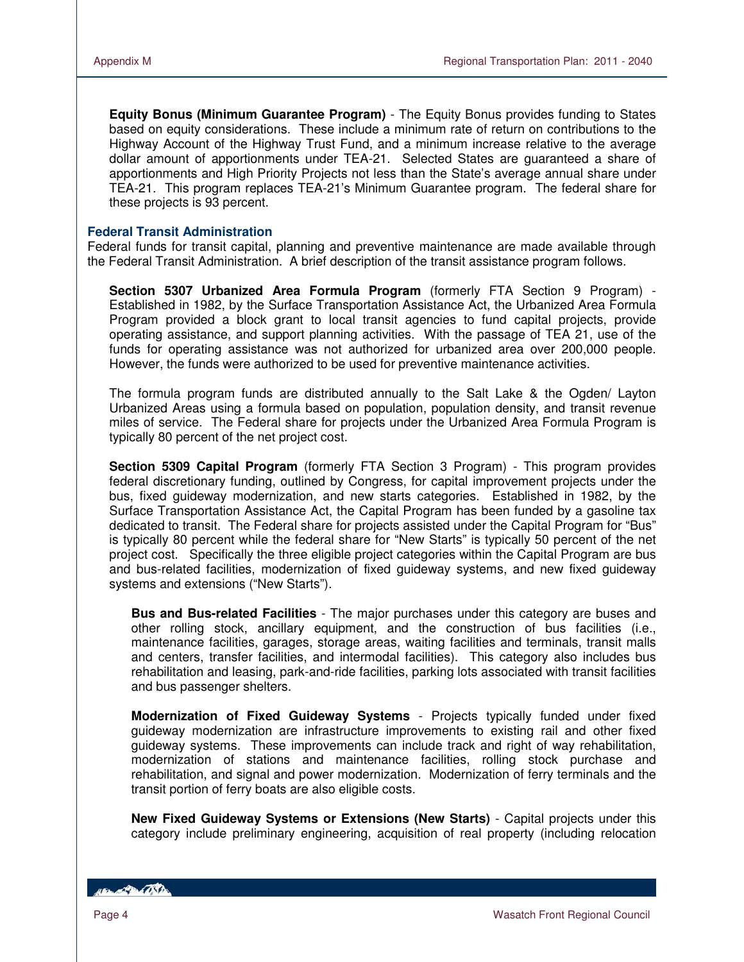**Equity Bonus (Minimum Guarantee Program)** - The Equity Bonus provides funding to States based on equity considerations. These include a minimum rate of return on contributions to the Highway Account of the Highway Trust Fund, and a minimum increase relative to the average dollar amount of apportionments under TEA-21. Selected States are guaranteed a share of apportionments and High Priority Projects not less than the State's average annual share under TEA-21. This program replaces TEA-21's Minimum Guarantee program. The federal share for these projects is 93 percent.

#### **Federal Transit Administration**

Federal funds for transit capital, planning and preventive maintenance are made available through the Federal Transit Administration. A brief description of the transit assistance program follows.

**Section 5307 Urbanized Area Formula Program** (formerly FTA Section 9 Program) - Established in 1982, by the Surface Transportation Assistance Act, the Urbanized Area Formula Program provided a block grant to local transit agencies to fund capital projects, provide operating assistance, and support planning activities. With the passage of TEA 21, use of the funds for operating assistance was not authorized for urbanized area over 200,000 people. However, the funds were authorized to be used for preventive maintenance activities.

The formula program funds are distributed annually to the Salt Lake & the Ogden/ Layton Urbanized Areas using a formula based on population, population density, and transit revenue miles of service. The Federal share for projects under the Urbanized Area Formula Program is typically 80 percent of the net project cost.

**Section 5309 Capital Program** (formerly FTA Section 3 Program) - This program provides federal discretionary funding, outlined by Congress, for capital improvement projects under the bus, fixed guideway modernization, and new starts categories. Established in 1982, by the Surface Transportation Assistance Act, the Capital Program has been funded by a gasoline tax dedicated to transit. The Federal share for projects assisted under the Capital Program for "Bus" is typically 80 percent while the federal share for "New Starts" is typically 50 percent of the net project cost. Specifically the three eligible project categories within the Capital Program are bus and bus-related facilities, modernization of fixed guideway systems, and new fixed guideway systems and extensions ("New Starts").

**Bus and Bus-related Facilities** - The major purchases under this category are buses and other rolling stock, ancillary equipment, and the construction of bus facilities (i.e., maintenance facilities, garages, storage areas, waiting facilities and terminals, transit malls and centers, transfer facilities, and intermodal facilities). This category also includes bus rehabilitation and leasing, park-and-ride facilities, parking lots associated with transit facilities and bus passenger shelters.

**Modernization of Fixed Guideway Systems** - Projects typically funded under fixed guideway modernization are infrastructure improvements to existing rail and other fixed guideway systems. These improvements can include track and right of way rehabilitation, modernization of stations and maintenance facilities, rolling stock purchase and rehabilitation, and signal and power modernization. Modernization of ferry terminals and the transit portion of ferry boats are also eligible costs.

**New Fixed Guideway Systems or Extensions (New Starts)** - Capital projects under this category include preliminary engineering, acquisition of real property (including relocation

*ABLACTER CONTROL*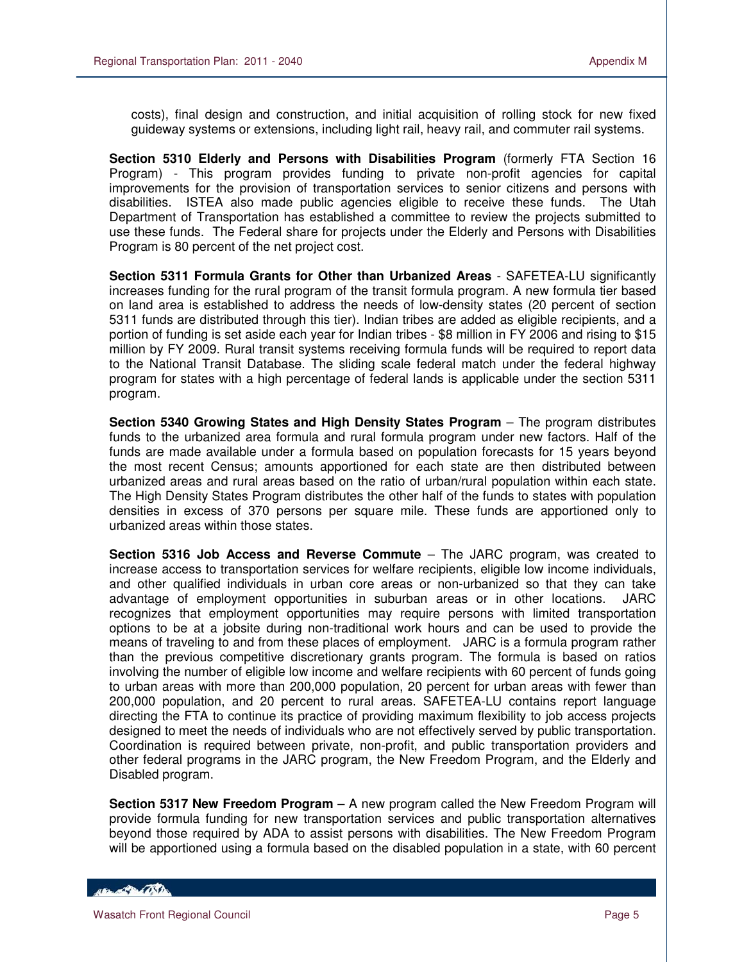costs), final design and construction, and initial acquisition of rolling stock for new fixed guideway systems or extensions, including light rail, heavy rail, and commuter rail systems.

**Section 5310 Elderly and Persons with Disabilities Program** (formerly FTA Section 16 Program) - This program provides funding to private non-profit agencies for capital improvements for the provision of transportation services to senior citizens and persons with disabilities. ISTEA also made public agencies eligible to receive these funds. The Utah Department of Transportation has established a committee to review the projects submitted to use these funds. The Federal share for projects under the Elderly and Persons with Disabilities Program is 80 percent of the net project cost.

**Section 5311 Formula Grants for Other than Urbanized Areas** - SAFETEA-LU significantly increases funding for the rural program of the transit formula program. A new formula tier based on land area is established to address the needs of low-density states (20 percent of section 5311 funds are distributed through this tier). Indian tribes are added as eligible recipients, and a portion of funding is set aside each year for Indian tribes - \$8 million in FY 2006 and rising to \$15 million by FY 2009. Rural transit systems receiving formula funds will be required to report data to the National Transit Database. The sliding scale federal match under the federal highway program for states with a high percentage of federal lands is applicable under the section 5311 program.

**Section 5340 Growing States and High Density States Program** – The program distributes funds to the urbanized area formula and rural formula program under new factors. Half of the funds are made available under a formula based on population forecasts for 15 years beyond the most recent Census; amounts apportioned for each state are then distributed between urbanized areas and rural areas based on the ratio of urban/rural population within each state. The High Density States Program distributes the other half of the funds to states with population densities in excess of 370 persons per square mile. These funds are apportioned only to urbanized areas within those states.

**Section 5316 Job Access and Reverse Commute** – The JARC program, was created to increase access to transportation services for welfare recipients, eligible low income individuals, and other qualified individuals in urban core areas or non-urbanized so that they can take advantage of employment opportunities in suburban areas or in other locations. JARC recognizes that employment opportunities may require persons with limited transportation options to be at a jobsite during non-traditional work hours and can be used to provide the means of traveling to and from these places of employment. JARC is a formula program rather than the previous competitive discretionary grants program. The formula is based on ratios involving the number of eligible low income and welfare recipients with 60 percent of funds going to urban areas with more than 200,000 population, 20 percent for urban areas with fewer than 200,000 population, and 20 percent to rural areas. SAFETEA-LU contains report language directing the FTA to continue its practice of providing maximum flexibility to job access projects designed to meet the needs of individuals who are not effectively served by public transportation. Coordination is required between private, non-profit, and public transportation providers and other federal programs in the JARC program, the New Freedom Program, and the Elderly and Disabled program.

**Section 5317 New Freedom Program** – A new program called the New Freedom Program will provide formula funding for new transportation services and public transportation alternatives beyond those required by ADA to assist persons with disabilities. The New Freedom Program will be apportioned using a formula based on the disabled population in a state, with 60 percent

**CONTRACTOR**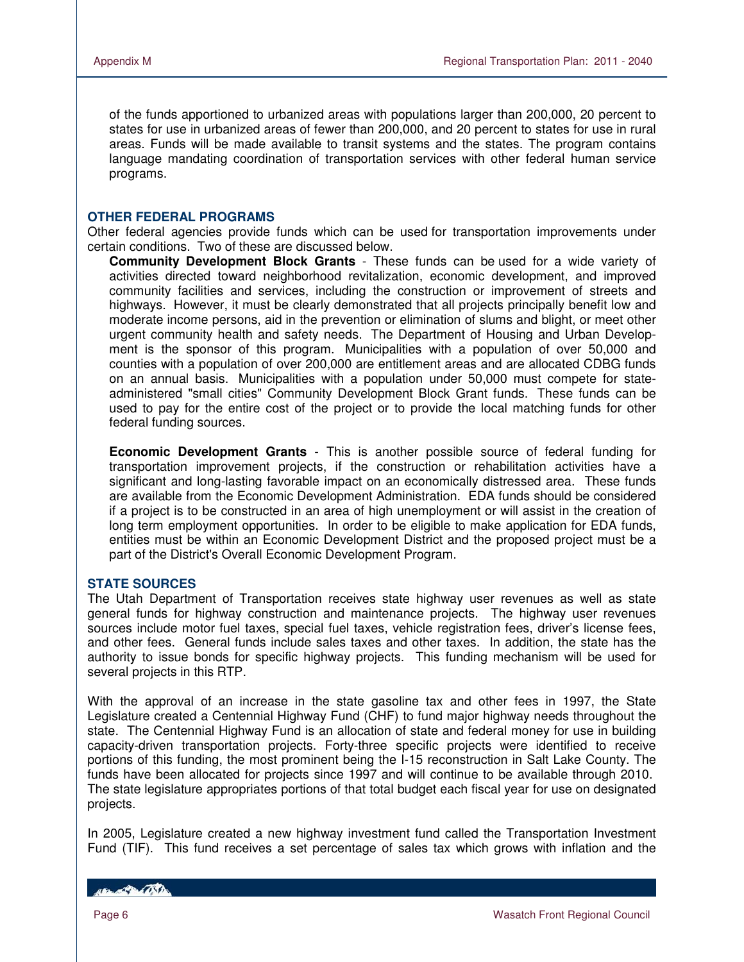of the funds apportioned to urbanized areas with populations larger than 200,000, 20 percent to states for use in urbanized areas of fewer than 200,000, and 20 percent to states for use in rural areas. Funds will be made available to transit systems and the states. The program contains language mandating coordination of transportation services with other federal human service programs.

#### **OTHER FEDERAL PROGRAMS**

Other federal agencies provide funds which can be used for transportation improvements under certain conditions. Two of these are discussed below.

**Community Development Block Grants** - These funds can be used for a wide variety of activities directed toward neighborhood revitalization, economic development, and improved community facilities and services, including the construction or improvement of streets and highways. However, it must be clearly demonstrated that all projects principally benefit low and moderate income persons, aid in the prevention or elimination of slums and blight, or meet other urgent community health and safety needs. The Department of Housing and Urban Development is the sponsor of this program. Municipalities with a population of over 50,000 and counties with a population of over 200,000 are entitlement areas and are allocated CDBG funds on an annual basis. Municipalities with a population under 50,000 must compete for stateadministered "small cities" Community Development Block Grant funds. These funds can be used to pay for the entire cost of the project or to provide the local matching funds for other federal funding sources.

**Economic Development Grants** - This is another possible source of federal funding for transportation improvement projects, if the construction or rehabilitation activities have a significant and long-lasting favorable impact on an economically distressed area. These funds are available from the Economic Development Administration. EDA funds should be considered if a project is to be constructed in an area of high unemployment or will assist in the creation of long term employment opportunities. In order to be eligible to make application for EDA funds, entities must be within an Economic Development District and the proposed project must be a part of the District's Overall Economic Development Program.

#### **STATE SOURCES**

The Utah Department of Transportation receives state highway user revenues as well as state general funds for highway construction and maintenance projects. The highway user revenues sources include motor fuel taxes, special fuel taxes, vehicle registration fees, driver's license fees, and other fees. General funds include sales taxes and other taxes. In addition, the state has the authority to issue bonds for specific highway projects. This funding mechanism will be used for several projects in this RTP.

With the approval of an increase in the state gasoline tax and other fees in 1997, the State Legislature created a Centennial Highway Fund (CHF) to fund major highway needs throughout the state. The Centennial Highway Fund is an allocation of state and federal money for use in building capacity-driven transportation projects. Forty-three specific projects were identified to receive portions of this funding, the most prominent being the I-15 reconstruction in Salt Lake County. The funds have been allocated for projects since 1997 and will continue to be available through 2010. The state legislature appropriates portions of that total budget each fiscal year for use on designated projects.

In 2005, Legislature created a new highway investment fund called the Transportation Investment Fund (TIF). This fund receives a set percentage of sales tax which grows with inflation and the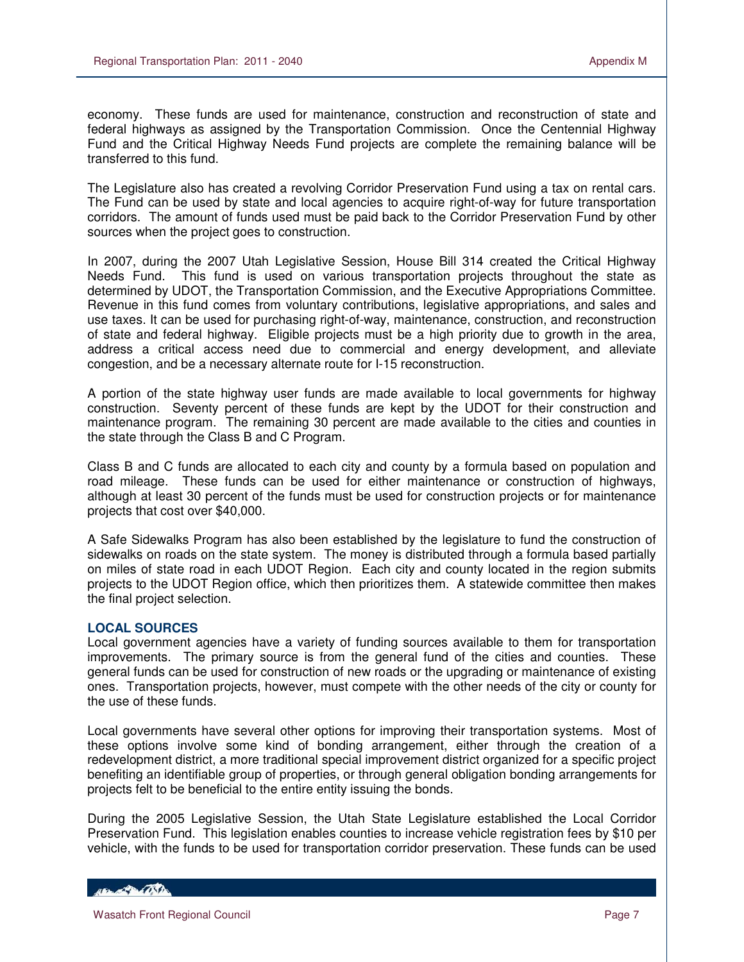economy. These funds are used for maintenance, construction and reconstruction of state and federal highways as assigned by the Transportation Commission. Once the Centennial Highway Fund and the Critical Highway Needs Fund projects are complete the remaining balance will be transferred to this fund.

The Legislature also has created a revolving Corridor Preservation Fund using a tax on rental cars. The Fund can be used by state and local agencies to acquire right-of-way for future transportation corridors. The amount of funds used must be paid back to the Corridor Preservation Fund by other sources when the project goes to construction.

In 2007, during the 2007 Utah Legislative Session, House Bill 314 created the Critical Highway Needs Fund. This fund is used on various transportation projects throughout the state as determined by UDOT, the Transportation Commission, and the Executive Appropriations Committee. Revenue in this fund comes from voluntary contributions, legislative appropriations, and sales and use taxes. It can be used for purchasing right-of-way, maintenance, construction, and reconstruction of state and federal highway. Eligible projects must be a high priority due to growth in the area, address a critical access need due to commercial and energy development, and alleviate congestion, and be a necessary alternate route for I-15 reconstruction.

A portion of the state highway user funds are made available to local governments for highway construction. Seventy percent of these funds are kept by the UDOT for their construction and maintenance program. The remaining 30 percent are made available to the cities and counties in the state through the Class B and C Program.

Class B and C funds are allocated to each city and county by a formula based on population and road mileage. These funds can be used for either maintenance or construction of highways, although at least 30 percent of the funds must be used for construction projects or for maintenance projects that cost over \$40,000.

A Safe Sidewalks Program has also been established by the legislature to fund the construction of sidewalks on roads on the state system. The money is distributed through a formula based partially on miles of state road in each UDOT Region. Each city and county located in the region submits projects to the UDOT Region office, which then prioritizes them. A statewide committee then makes the final project selection.

## **LOCAL SOURCES**

Local government agencies have a variety of funding sources available to them for transportation improvements. The primary source is from the general fund of the cities and counties. These general funds can be used for construction of new roads or the upgrading or maintenance of existing ones. Transportation projects, however, must compete with the other needs of the city or county for the use of these funds.

Local governments have several other options for improving their transportation systems. Most of these options involve some kind of bonding arrangement, either through the creation of a redevelopment district, a more traditional special improvement district organized for a specific project benefiting an identifiable group of properties, or through general obligation bonding arrangements for projects felt to be beneficial to the entire entity issuing the bonds.

During the 2005 Legislative Session, the Utah State Legislature established the Local Corridor Preservation Fund. This legislation enables counties to increase vehicle registration fees by \$10 per vehicle, with the funds to be used for transportation corridor preservation. These funds can be used

HELL CONTRACTOR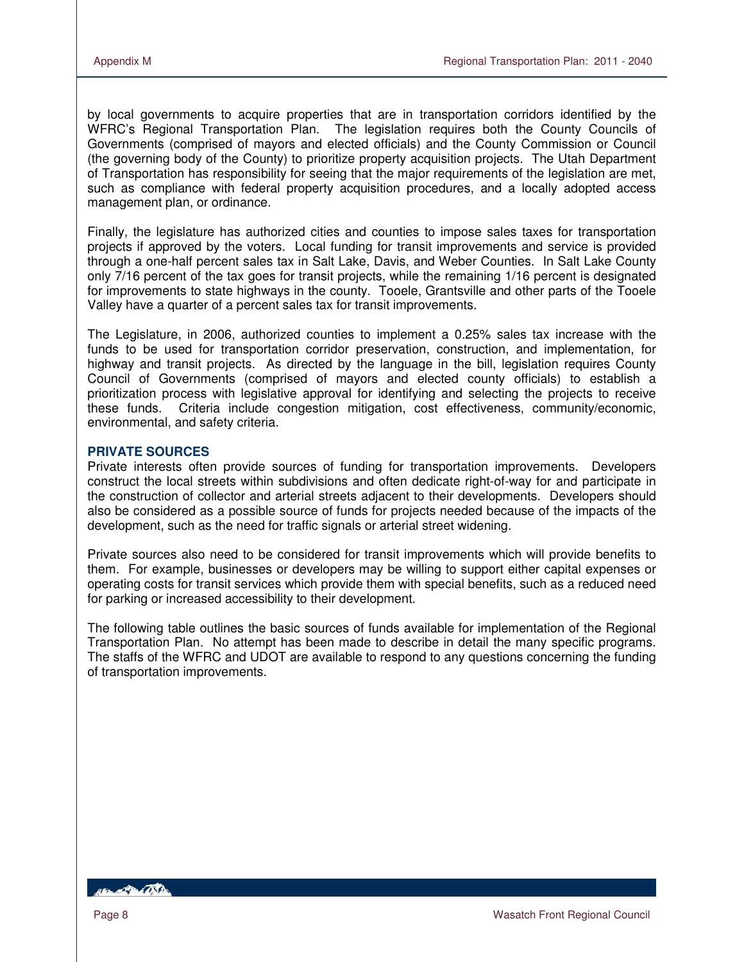by local governments to acquire properties that are in transportation corridors identified by the WFRC's Regional Transportation Plan. The legislation requires both the County Councils of Governments (comprised of mayors and elected officials) and the County Commission or Council (the governing body of the County) to prioritize property acquisition projects. The Utah Department of Transportation has responsibility for seeing that the major requirements of the legislation are met, such as compliance with federal property acquisition procedures, and a locally adopted access management plan, or ordinance.

Finally, the legislature has authorized cities and counties to impose sales taxes for transportation projects if approved by the voters. Local funding for transit improvements and service is provided through a one-half percent sales tax in Salt Lake, Davis, and Weber Counties. In Salt Lake County only 7/16 percent of the tax goes for transit projects, while the remaining 1/16 percent is designated for improvements to state highways in the county. Tooele, Grantsville and other parts of the Tooele Valley have a quarter of a percent sales tax for transit improvements.

The Legislature, in 2006, authorized counties to implement a 0.25% sales tax increase with the funds to be used for transportation corridor preservation, construction, and implementation, for highway and transit projects. As directed by the language in the bill, legislation requires County Council of Governments (comprised of mayors and elected county officials) to establish a prioritization process with legislative approval for identifying and selecting the projects to receive these funds. Criteria include congestion mitigation, cost effectiveness, community/economic, environmental, and safety criteria.

## **PRIVATE SOURCES**

Private interests often provide sources of funding for transportation improvements. Developers construct the local streets within subdivisions and often dedicate right-of-way for and participate in the construction of collector and arterial streets adjacent to their developments. Developers should also be considered as a possible source of funds for projects needed because of the impacts of the development, such as the need for traffic signals or arterial street widening.

Private sources also need to be considered for transit improvements which will provide benefits to them. For example, businesses or developers may be willing to support either capital expenses or operating costs for transit services which provide them with special benefits, such as a reduced need for parking or increased accessibility to their development.

The following table outlines the basic sources of funds available for implementation of the Regional Transportation Plan. No attempt has been made to describe in detail the many specific programs. The staffs of the WFRC and UDOT are available to respond to any questions concerning the funding of transportation improvements.

*ABLACTER COSTA*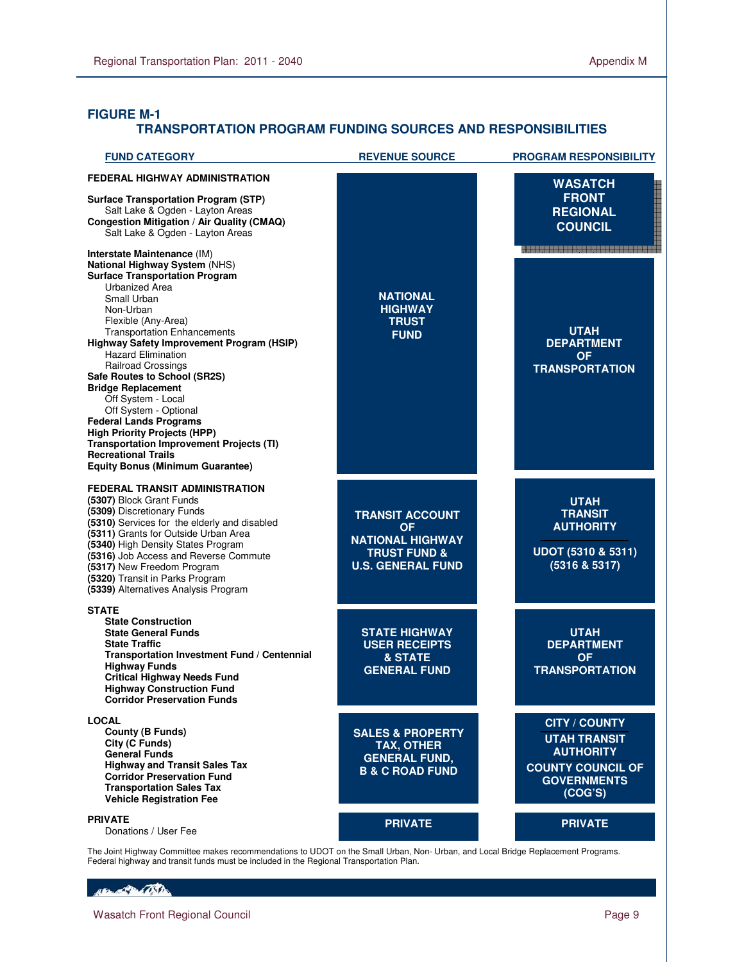## **FIGURE M-1 TRANSPORTATION PROGRAM FUNDING SOURCES AND RESPONSIBILITIES**

| <b>FUND CATEGORY</b>                                                                                                                                                                                                                                                                                                                                                                                                                                                                                                                                                                                                             | <b>REVENUE SOURCE</b>                                                                                                 | <b>PROGRAM RESPONSIBILITY</b>                                                                                                |
|----------------------------------------------------------------------------------------------------------------------------------------------------------------------------------------------------------------------------------------------------------------------------------------------------------------------------------------------------------------------------------------------------------------------------------------------------------------------------------------------------------------------------------------------------------------------------------------------------------------------------------|-----------------------------------------------------------------------------------------------------------------------|------------------------------------------------------------------------------------------------------------------------------|
| <b>FEDERAL HIGHWAY ADMINISTRATION</b><br><b>Surface Transportation Program (STP)</b><br>Salt Lake & Ogden - Layton Areas<br><b>Congestion Mitigation / Air Quality (CMAQ)</b><br>Salt Lake & Ogden - Layton Areas                                                                                                                                                                                                                                                                                                                                                                                                                |                                                                                                                       | <b>WASATCH</b><br><b>FRONT</b><br><b>REGIONAL</b><br><b>COUNCIL</b>                                                          |
| Interstate Maintenance (IM)<br>National Highway System (NHS)<br><b>Surface Transportation Program</b><br>Urbanized Area<br>Small Urban<br>Non-Urban<br>Flexible (Any-Area)<br><b>Transportation Enhancements</b><br>Highway Safety Improvement Program (HSIP)<br><b>Hazard Elimination</b><br>Railroad Crossings<br>Safe Routes to School (SR2S)<br><b>Bridge Replacement</b><br>Off System - Local<br>Off System - Optional<br><b>Federal Lands Programs</b><br><b>High Priority Projects (HPP)</b><br><b>Transportation Improvement Projects (TI)</b><br><b>Recreational Trails</b><br><b>Equity Bonus (Minimum Guarantee)</b> | <b>NATIONAL</b><br><b>HIGHWAY</b><br><b>TRUST</b><br><b>FUND</b>                                                      | <b>UTAH</b><br><b>DEPARTMENT</b><br>OF.<br><b>TRANSPORTATION</b>                                                             |
| <b>FEDERAL TRANSIT ADMINISTRATION</b><br>(5307) Block Grant Funds<br>(5309) Discretionary Funds<br>(5310) Services for the elderly and disabled<br>(5311) Grants for Outside Urban Area<br>(5340) High Density States Program<br>(5316) Job Access and Reverse Commute<br>(5317) New Freedom Program<br>(5320) Transit in Parks Program<br>(5339) Alternatives Analysis Program                                                                                                                                                                                                                                                  | <b>TRANSIT ACCOUNT</b><br><b>OF</b><br><b>NATIONAL HIGHWAY</b><br><b>TRUST FUND &amp;</b><br><b>U.S. GENERAL FUND</b> | <b>UTAH</b><br><b>TRANSIT</b><br><b>AUTHORITY</b><br>UDOT (5310 & 5311)<br>(5316 & 5317)                                     |
| <b>STATE</b><br><b>State Construction</b><br><b>State General Funds</b><br><b>State Traffic</b><br>Transportation Investment Fund / Centennial<br><b>Highway Funds</b><br><b>Critical Highway Needs Fund</b><br><b>Highway Construction Fund</b><br><b>Corridor Preservation Funds</b>                                                                                                                                                                                                                                                                                                                                           | <b>STATE HIGHWAY</b><br><b>USER RECEIPTS</b><br>& STATE<br><b>GENERAL FUND</b>                                        | <b>UTAH</b><br><b>DEPARTMENT</b><br><b>OF</b><br><b>TRANSPORTATION</b>                                                       |
| <b>LOCAL</b><br><b>County (B Funds)</b><br>City (C Funds)<br><b>General Funds</b><br><b>Highway and Transit Sales Tax</b><br><b>Corridor Preservation Fund</b><br><b>Transportation Sales Tax</b><br><b>Vehicle Registration Fee</b>                                                                                                                                                                                                                                                                                                                                                                                             | <b>SALES &amp; PROPERTY</b><br><b>TAX, OTHER</b><br><b>GENERAL FUND,</b><br><b>B &amp; C ROAD FUND</b>                | <b>CITY / COUNTY</b><br><b>UTAH TRANSIT</b><br><b>AUTHORITY</b><br><b>COUNTY COUNCIL OF</b><br><b>GOVERNMENTS</b><br>(COG'S) |
| <b>PRIVATE</b><br>Donations / User Fee                                                                                                                                                                                                                                                                                                                                                                                                                                                                                                                                                                                           | <b>PRIVATE</b>                                                                                                        | <b>PRIVATE</b>                                                                                                               |

The Joint Highway Committee makes recommendations to UDOT on the Small Urban, Non- Urban, and Local Bridge Replacement Programs. Federal highway and transit funds must be included in the Regional Transportation Plan.

#### Henry Company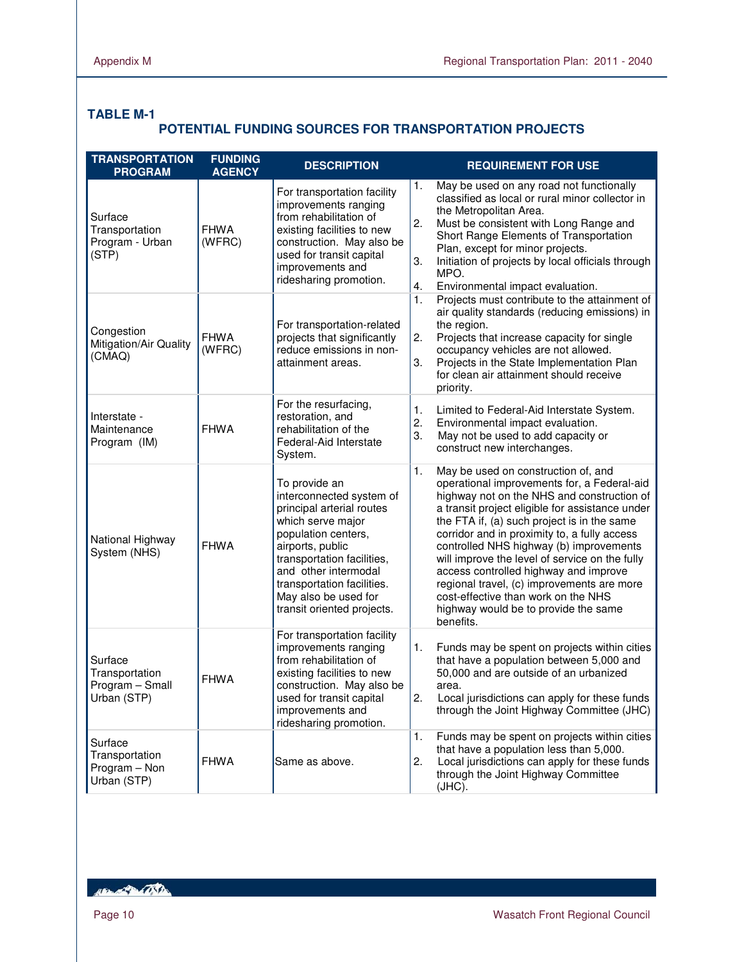## **TABLE M-1**

# **POTENTIAL FUNDING SOURCES FOR TRANSPORTATION PROJECTS**

| <b>TRANSPORTATION</b><br><b>PROGRAM</b>                     | <b>FUNDING</b><br><b>AGENCY</b> | <b>DESCRIPTION</b>                                                                                                                                                                                                                                                               | <b>REQUIREMENT FOR USE</b>                                                                                                                                                                                                                                                                                                                                                                                                                                                                                                                                               |
|-------------------------------------------------------------|---------------------------------|----------------------------------------------------------------------------------------------------------------------------------------------------------------------------------------------------------------------------------------------------------------------------------|--------------------------------------------------------------------------------------------------------------------------------------------------------------------------------------------------------------------------------------------------------------------------------------------------------------------------------------------------------------------------------------------------------------------------------------------------------------------------------------------------------------------------------------------------------------------------|
| Surface<br>Transportation<br>Program - Urban<br>(STP)       | <b>FHWA</b><br>(WFRC)           | For transportation facility<br>improvements ranging<br>from rehabilitation of<br>existing facilities to new<br>construction. May also be<br>used for transit capital<br>improvements and<br>ridesharing promotion.                                                               | May be used on any road not functionally<br>1.<br>classified as local or rural minor collector in<br>the Metropolitan Area.<br>2.<br>Must be consistent with Long Range and<br>Short Range Elements of Transportation<br>Plan, except for minor projects.<br>3.<br>Initiation of projects by local officials through<br>MPO.<br>4.<br>Environmental impact evaluation.                                                                                                                                                                                                   |
| Congestion<br>Mitigation/Air Quality<br>(CMAQ)              | <b>FHWA</b><br>(WFRC)           | For transportation-related<br>projects that significantly<br>reduce emissions in non-<br>attainment areas.                                                                                                                                                                       | 1.<br>Projects must contribute to the attainment of<br>air quality standards (reducing emissions) in<br>the region.<br>2.<br>Projects that increase capacity for single<br>occupancy vehicles are not allowed.<br>3.<br>Projects in the State Implementation Plan<br>for clean air attainment should receive<br>priority.                                                                                                                                                                                                                                                |
| Interstate -<br>Maintenance<br>Program (IM)                 | <b>FHWA</b>                     | For the resurfacing,<br>restoration, and<br>rehabilitation of the<br>Federal-Aid Interstate<br>System.                                                                                                                                                                           | 1.<br>Limited to Federal-Aid Interstate System.<br>2.<br>Environmental impact evaluation.<br>3.<br>May not be used to add capacity or<br>construct new interchanges.                                                                                                                                                                                                                                                                                                                                                                                                     |
| National Highway<br>System (NHS)                            | <b>FHWA</b>                     | To provide an<br>interconnected system of<br>principal arterial routes<br>which serve major<br>population centers,<br>airports, public<br>transportation facilities,<br>and other intermodal<br>transportation facilities.<br>May also be used for<br>transit oriented projects. | 1.<br>May be used on construction of, and<br>operational improvements for, a Federal-aid<br>highway not on the NHS and construction of<br>a transit project eligible for assistance under<br>the FTA if, (a) such project is in the same<br>corridor and in proximity to, a fully access<br>controlled NHS highway (b) improvements<br>will improve the level of service on the fully<br>access controlled highway and improve<br>regional travel, (c) improvements are more<br>cost-effective than work on the NHS<br>highway would be to provide the same<br>benefits. |
| Surface<br>Transportation<br>Program - Small<br>Urban (STP) | <b>FHWA</b>                     | For transportation facility<br>improvements ranging<br>from rehabilitation of<br>existing facilities to new<br>construction. May also be<br>used for transit capital<br>improvements and<br>ridesharing promotion.                                                               | 1.<br>Funds may be spent on projects within cities<br>that have a population between 5,000 and<br>50,000 and are outside of an urbanized<br>area.<br>2<br>Local jurisdictions can apply for these funds<br>through the Joint Highway Committee (JHC)                                                                                                                                                                                                                                                                                                                     |
| Surface<br>Transportation<br>Program - Non<br>Urban (STP)   | <b>FHWA</b>                     | Same as above.                                                                                                                                                                                                                                                                   | 1.<br>Funds may be spent on projects within cities<br>that have a population less than 5,000.<br>2.<br>Local jurisdictions can apply for these funds<br>through the Joint Highway Committee<br>$JHC$ ).                                                                                                                                                                                                                                                                                                                                                                  |

RENT REPORT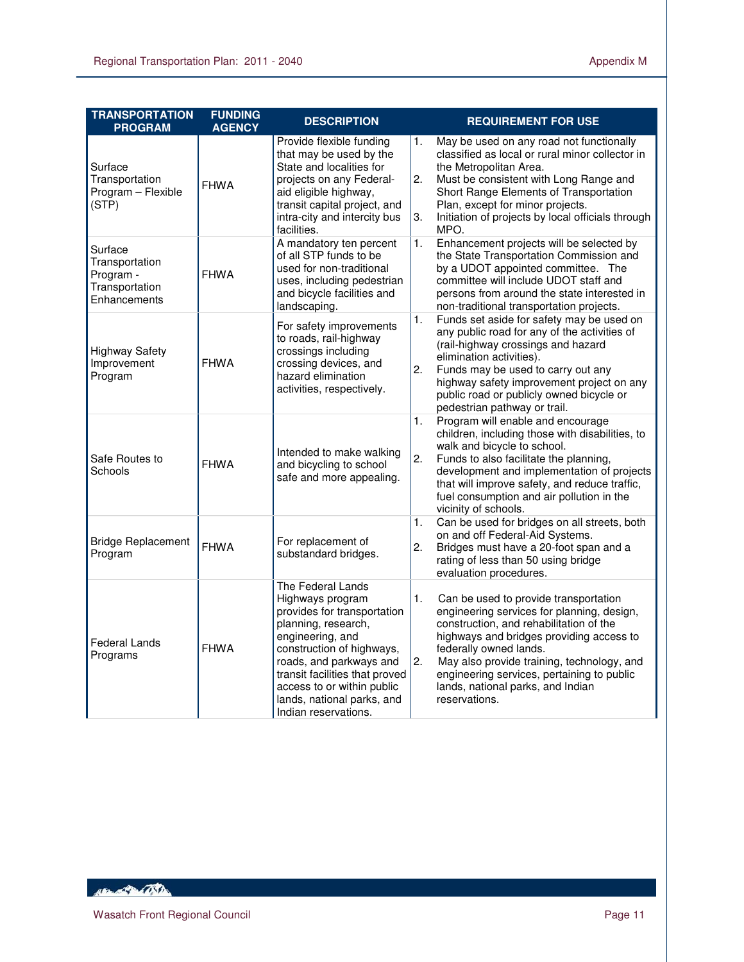| <b>TRANSPORTATION</b><br><b>PROGRAM</b>                                  | <b>FUNDING</b><br><b>AGENCY</b> | <b>DESCRIPTION</b>                                                                                                                                                                                                                                                                            |                | <b>REQUIREMENT FOR USE</b>                                                                                                                                                                                                                                                                                                                             |
|--------------------------------------------------------------------------|---------------------------------|-----------------------------------------------------------------------------------------------------------------------------------------------------------------------------------------------------------------------------------------------------------------------------------------------|----------------|--------------------------------------------------------------------------------------------------------------------------------------------------------------------------------------------------------------------------------------------------------------------------------------------------------------------------------------------------------|
| Surface<br>Transportation<br>Program - Flexible<br>(STP)                 | <b>FHWA</b>                     | Provide flexible funding<br>that may be used by the<br>State and localities for<br>projects on any Federal-<br>aid eligible highway,<br>transit capital project, and<br>intra-city and intercity bus<br>facilities.                                                                           | 1.<br>2.<br>3. | May be used on any road not functionally<br>classified as local or rural minor collector in<br>the Metropolitan Area.<br>Must be consistent with Long Range and<br>Short Range Elements of Transportation<br>Plan, except for minor projects.<br>Initiation of projects by local officials through<br>MPO.                                             |
| Surface<br>Transportation<br>Program -<br>Transportation<br>Enhancements | <b>FHWA</b>                     | A mandatory ten percent<br>of all STP funds to be<br>used for non-traditional<br>uses, including pedestrian<br>and bicycle facilities and<br>landscaping.                                                                                                                                     | 1.             | Enhancement projects will be selected by<br>the State Transportation Commission and<br>by a UDOT appointed committee. The<br>committee will include UDOT staff and<br>persons from around the state interested in<br>non-traditional transportation projects.                                                                                          |
| <b>Highway Safety</b><br>Improvement<br>Program                          | <b>FHWA</b>                     | For safety improvements<br>to roads, rail-highway<br>crossings including<br>crossing devices, and<br>hazard elimination<br>activities, respectively.                                                                                                                                          | 1.<br>2.       | Funds set aside for safety may be used on<br>any public road for any of the activities of<br>(rail-highway crossings and hazard<br>elimination activities).<br>Funds may be used to carry out any<br>highway safety improvement project on any<br>public road or publicly owned bicycle or<br>pedestrian pathway or trail.                             |
| Safe Routes to<br>Schools                                                | <b>FHWA</b>                     | Intended to make walking<br>and bicycling to school<br>safe and more appealing.                                                                                                                                                                                                               | 1.<br>2.       | Program will enable and encourage<br>children, including those with disabilities, to<br>walk and bicycle to school.<br>Funds to also facilitate the planning,<br>development and implementation of projects<br>that will improve safety, and reduce traffic,<br>fuel consumption and air pollution in the<br>vicinity of schools.                      |
| <b>Bridge Replacement</b><br>Program                                     | <b>FHWA</b>                     | For replacement of<br>substandard bridges.                                                                                                                                                                                                                                                    | 1.<br>2.       | Can be used for bridges on all streets, both<br>on and off Federal-Aid Systems.<br>Bridges must have a 20-foot span and a<br>rating of less than 50 using bridge<br>evaluation procedures.                                                                                                                                                             |
| Federal Lands<br>Programs                                                | <b>FHWA</b>                     | The Federal Lands<br>Highways program<br>provides for transportation<br>planning, research,<br>engineering, and<br>construction of highways,<br>roads, and parkways and<br>transit facilities that proved<br>access to or within public<br>lands, national parks, and<br>Indian reservations. | 1.<br>2.       | Can be used to provide transportation<br>engineering services for planning, design,<br>construction, and rehabilitation of the<br>highways and bridges providing access to<br>federally owned lands.<br>May also provide training, technology, and<br>engineering services, pertaining to public<br>lands, national parks, and Indian<br>reservations. |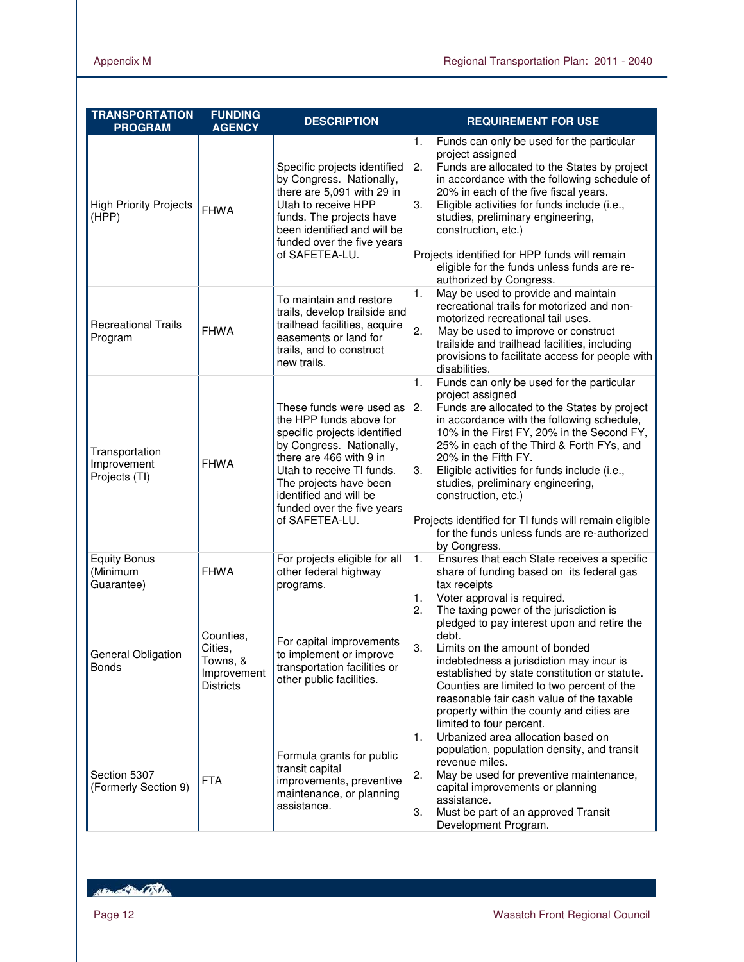| <b>TRANSPORTATION</b><br><b>PROGRAM</b>        | <b>FUNDING</b><br><b>AGENCY</b>                                     | <b>DESCRIPTION</b>                                                                                                                                                                                                                                                          | <b>REQUIREMENT FOR USE</b>                                                                                                                                                                                                                                                                                                                                                                                                                                                                                                             |
|------------------------------------------------|---------------------------------------------------------------------|-----------------------------------------------------------------------------------------------------------------------------------------------------------------------------------------------------------------------------------------------------------------------------|----------------------------------------------------------------------------------------------------------------------------------------------------------------------------------------------------------------------------------------------------------------------------------------------------------------------------------------------------------------------------------------------------------------------------------------------------------------------------------------------------------------------------------------|
| <b>High Priority Projects</b><br>(HPP)         | <b>FHWA</b>                                                         | Specific projects identified<br>by Congress. Nationally,<br>there are 5,091 with 29 in<br>Utah to receive HPP<br>funds. The projects have<br>been identified and will be<br>funded over the five years<br>of SAFETEA-LU.                                                    | 1.<br>Funds can only be used for the particular<br>project assigned<br>2.<br>Funds are allocated to the States by project<br>in accordance with the following schedule of<br>20% in each of the five fiscal years.<br>3.<br>Eligible activities for funds include (i.e.,<br>studies, preliminary engineering,<br>construction, etc.)<br>Projects identified for HPP funds will remain                                                                                                                                                  |
| <b>Recreational Trails</b><br>Program          | <b>FHWA</b>                                                         | To maintain and restore<br>trails, develop trailside and<br>trailhead facilities, acquire<br>easements or land for<br>trails, and to construct<br>new trails.                                                                                                               | eligible for the funds unless funds are re-<br>authorized by Congress.<br>1.<br>May be used to provide and maintain<br>recreational trails for motorized and non-<br>motorized recreational tail uses.<br>2.<br>May be used to improve or construct<br>trailside and trailhead facilities, including<br>provisions to facilitate access for people with                                                                                                                                                                                |
| Transportation<br>Improvement<br>Projects (TI) | <b>FHWA</b>                                                         | These funds were used as<br>the HPP funds above for<br>specific projects identified<br>by Congress. Nationally,<br>there are 466 with 9 in<br>Utah to receive TI funds.<br>The projects have been<br>identified and will be<br>funded over the five years<br>of SAFETEA-LU. | disabilities.<br>1.<br>Funds can only be used for the particular<br>project assigned<br>2.<br>Funds are allocated to the States by project<br>in accordance with the following schedule,<br>10% in the First FY, 20% in the Second FY,<br>25% in each of the Third & Forth FYs, and<br>20% in the Fifth FY.<br>Eligible activities for funds include (i.e.,<br>З.<br>studies, preliminary engineering,<br>construction, etc.)<br>Projects identified for TI funds will remain eligible<br>for the funds unless funds are re-authorized |
| <b>Equity Bonus</b><br>(Minimum<br>Guarantee)  | <b>FHWA</b>                                                         | For projects eligible for all<br>other federal highway<br>programs.                                                                                                                                                                                                         | by Congress.<br>1.<br>Ensures that each State receives a specific<br>share of funding based on its federal gas<br>tax receipts                                                                                                                                                                                                                                                                                                                                                                                                         |
| General Obligation<br><b>Bonds</b>             | Counties,<br>Cities,<br>Towns, &<br>Improvement<br><b>Districts</b> | For capital improvements<br>to implement or improve<br>transportation facilities or<br>other public facilities.                                                                                                                                                             | Voter approval is required.<br>1.<br>2.<br>The taxing power of the jurisdiction is<br>pledged to pay interest upon and retire the<br>debt.<br>3.<br>Limits on the amount of bonded<br>indebtedness a jurisdiction may incur is<br>established by state constitution or statute.<br>Counties are limited to two percent of the<br>reasonable fair cash value of the taxable<br>property within the county and cities are<br>limited to four percent.                                                                                    |
| Section 5307<br>(Formerly Section 9)           | <b>FTA</b>                                                          | Formula grants for public<br>transit capital<br>improvements, preventive<br>maintenance, or planning<br>assistance.                                                                                                                                                         | Urbanized area allocation based on<br>1.<br>population, population density, and transit<br>revenue miles.<br>May be used for preventive maintenance,<br>2.<br>capital improvements or planning<br>assistance.<br>3.<br>Must be part of an approved Transit<br>Development Program.                                                                                                                                                                                                                                                     |

RENT WITH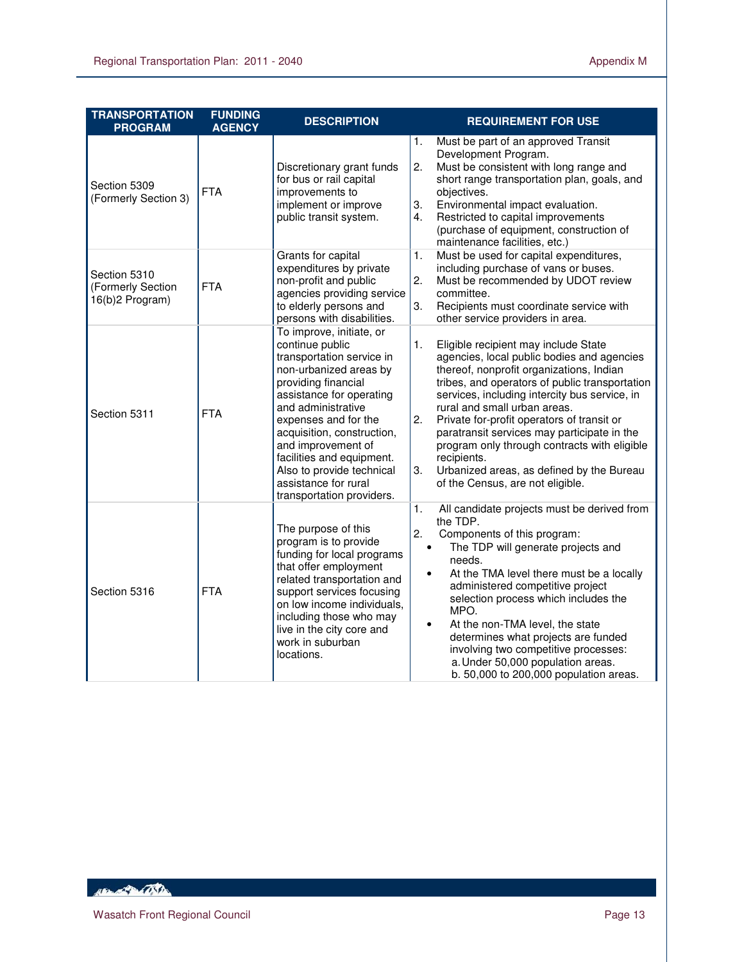| <b>TRANSPORTATION</b><br><b>PROGRAM</b>              | <b>FUNDING</b><br><b>AGENCY</b> | <b>DESCRIPTION</b>                                                                                                                                                                                                                                                                                                                                                     | <b>REQUIREMENT FOR USE</b>                                                                                                                                                                                                                                                                                                                                                                                                                                                                                                       |
|------------------------------------------------------|---------------------------------|------------------------------------------------------------------------------------------------------------------------------------------------------------------------------------------------------------------------------------------------------------------------------------------------------------------------------------------------------------------------|----------------------------------------------------------------------------------------------------------------------------------------------------------------------------------------------------------------------------------------------------------------------------------------------------------------------------------------------------------------------------------------------------------------------------------------------------------------------------------------------------------------------------------|
| Section 5309<br>(Formerly Section 3)                 | <b>FTA</b>                      | Discretionary grant funds<br>for bus or rail capital<br>improvements to<br>implement or improve<br>public transit system.                                                                                                                                                                                                                                              | Must be part of an approved Transit<br>1.<br>Development Program.<br>2.<br>Must be consistent with long range and<br>short range transportation plan, goals, and<br>objectives.<br>Environmental impact evaluation.<br>3.<br>Restricted to capital improvements<br>4.<br>(purchase of equipment, construction of<br>maintenance facilities, etc.)                                                                                                                                                                                |
| Section 5310<br>(Formerly Section<br>16(b)2 Program) | <b>FTA</b>                      | Grants for capital<br>expenditures by private<br>non-profit and public<br>agencies providing service<br>to elderly persons and<br>persons with disabilities.                                                                                                                                                                                                           | Must be used for capital expenditures,<br>1.<br>including purchase of vans or buses.<br>2.<br>Must be recommended by UDOT review<br>committee.<br>3.<br>Recipients must coordinate service with<br>other service providers in area.                                                                                                                                                                                                                                                                                              |
| Section 5311                                         | <b>FTA</b>                      | To improve, initiate, or<br>continue public<br>transportation service in<br>non-urbanized areas by<br>providing financial<br>assistance for operating<br>and administrative<br>expenses and for the<br>acquisition, construction,<br>and improvement of<br>facilities and equipment.<br>Also to provide technical<br>assistance for rural<br>transportation providers. | 1.<br>Eligible recipient may include State<br>agencies, local public bodies and agencies<br>thereof, nonprofit organizations, Indian<br>tribes, and operators of public transportation<br>services, including intercity bus service, in<br>rural and small urban areas.<br>2.<br>Private for-profit operators of transit or<br>paratransit services may participate in the<br>program only through contracts with eligible<br>recipients.<br>3.<br>Urbanized areas, as defined by the Bureau<br>of the Census, are not eligible. |
| Section 5316                                         | <b>FTA</b>                      | The purpose of this<br>program is to provide<br>funding for local programs<br>that offer employment<br>related transportation and<br>support services focusing<br>on low income individuals,<br>including those who may<br>live in the city core and<br>work in suburban<br>locations.                                                                                 | 1.<br>All candidate projects must be derived from<br>the TDP.<br>2.<br>Components of this program:<br>The TDP will generate projects and<br>$\bullet$<br>needs.<br>At the TMA level there must be a locally<br>$\bullet$<br>administered competitive project<br>selection process which includes the<br>MPO.<br>At the non-TMA level, the state<br>$\bullet$<br>determines what projects are funded<br>involving two competitive processes:<br>a. Under 50,000 population areas.<br>b. 50,000 to 200,000 population areas.       |

HEL AND CONTRACTOR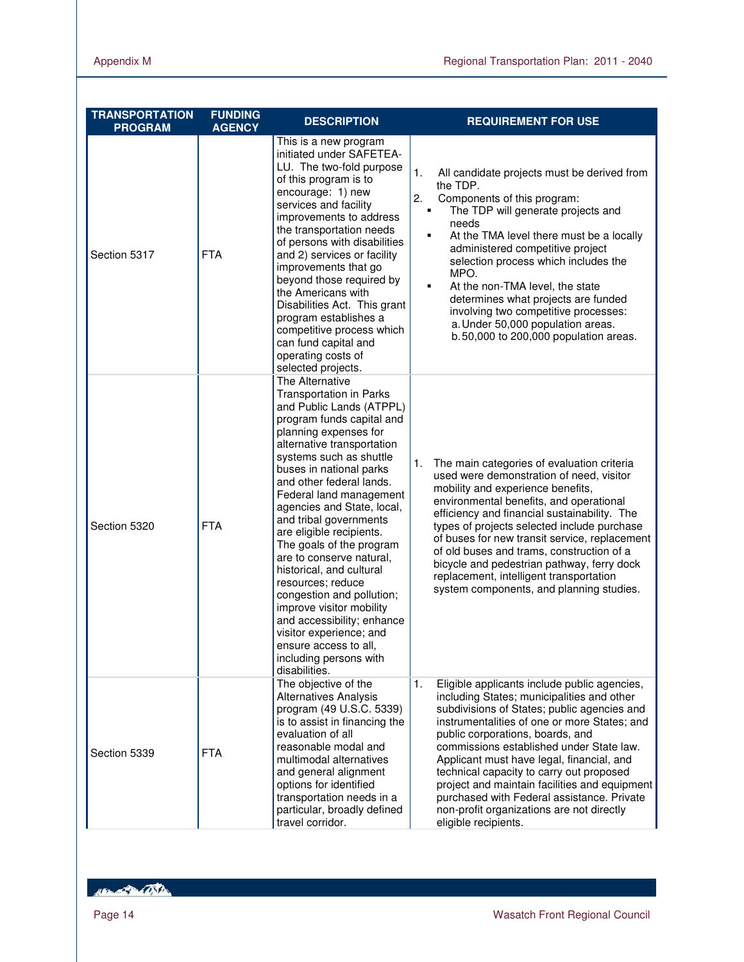| <b>TRANSPORTATION</b><br><b>PROGRAM</b> | <b>FUNDING</b><br><b>AGENCY</b> | <b>DESCRIPTION</b>                                                                                                                                                                                                                                                                                                                                                                                                                                                                                                                                                                                                                                                | <b>REQUIREMENT FOR USE</b>                                                                                                                                                                                                                                                                                                                                                                                                                                                                                                                   |
|-----------------------------------------|---------------------------------|-------------------------------------------------------------------------------------------------------------------------------------------------------------------------------------------------------------------------------------------------------------------------------------------------------------------------------------------------------------------------------------------------------------------------------------------------------------------------------------------------------------------------------------------------------------------------------------------------------------------------------------------------------------------|----------------------------------------------------------------------------------------------------------------------------------------------------------------------------------------------------------------------------------------------------------------------------------------------------------------------------------------------------------------------------------------------------------------------------------------------------------------------------------------------------------------------------------------------|
| Section 5317                            | <b>FTA</b>                      | This is a new program<br>initiated under SAFETEA-<br>LU. The two-fold purpose<br>of this program is to<br>encourage: 1) new<br>services and facility<br>improvements to address<br>the transportation needs<br>of persons with disabilities<br>and 2) services or facility<br>improvements that go<br>beyond those required by<br>the Americans with<br>Disabilities Act. This grant<br>program establishes a<br>competitive process which<br>can fund capital and<br>operating costs of<br>selected projects.                                                                                                                                                    | 1.<br>All candidate projects must be derived from<br>the TDP.<br>2.<br>Components of this program:<br>The TDP will generate projects and<br>٠<br>needs<br>At the TMA level there must be a locally<br>٠<br>administered competitive project<br>selection process which includes the<br>MPO.<br>At the non-TMA level, the state<br>٠<br>determines what projects are funded<br>involving two competitive processes:<br>a. Under 50,000 population areas.<br>b.50,000 to 200,000 population areas.                                             |
| Section 5320                            | <b>FTA</b>                      | The Alternative<br><b>Transportation in Parks</b><br>and Public Lands (ATPPL)<br>program funds capital and<br>planning expenses for<br>alternative transportation<br>systems such as shuttle<br>buses in national parks<br>and other federal lands.<br>Federal land management<br>agencies and State, local,<br>and tribal governments<br>are eligible recipients.<br>The goals of the program<br>are to conserve natural,<br>historical, and cultural<br>resources; reduce<br>congestion and pollution;<br>improve visitor mobility<br>and accessibility; enhance<br>visitor experience; and<br>ensure access to all,<br>including persons with<br>disabilities. | The main categories of evaluation criteria<br>1.<br>used were demonstration of need, visitor<br>mobility and experience benefits,<br>environmental benefits, and operational<br>efficiency and financial sustainability. The<br>types of projects selected include purchase<br>of buses for new transit service, replacement<br>of old buses and trams, construction of a<br>bicycle and pedestrian pathway, ferry dock<br>replacement, intelligent transportation<br>system components, and planning studies.                               |
| Section 5339                            | <b>FTA</b>                      | The objective of the<br><b>Alternatives Analysis</b><br>program (49 U.S.C. 5339)<br>is to assist in financing the<br>evaluation of all<br>reasonable modal and<br>multimodal alternatives<br>and general alignment<br>options for identified<br>transportation needs in a<br>particular, broadly defined<br>travel corridor.                                                                                                                                                                                                                                                                                                                                      | 1.<br>Eligible applicants include public agencies,<br>including States; municipalities and other<br>subdivisions of States; public agencies and<br>instrumentalities of one or more States; and<br>public corporations, boards, and<br>commissions established under State law.<br>Applicant must have legal, financial, and<br>technical capacity to carry out proposed<br>project and maintain facilities and equipment<br>purchased with Federal assistance. Private<br>non-profit organizations are not directly<br>eligible recipients. |

Hampton College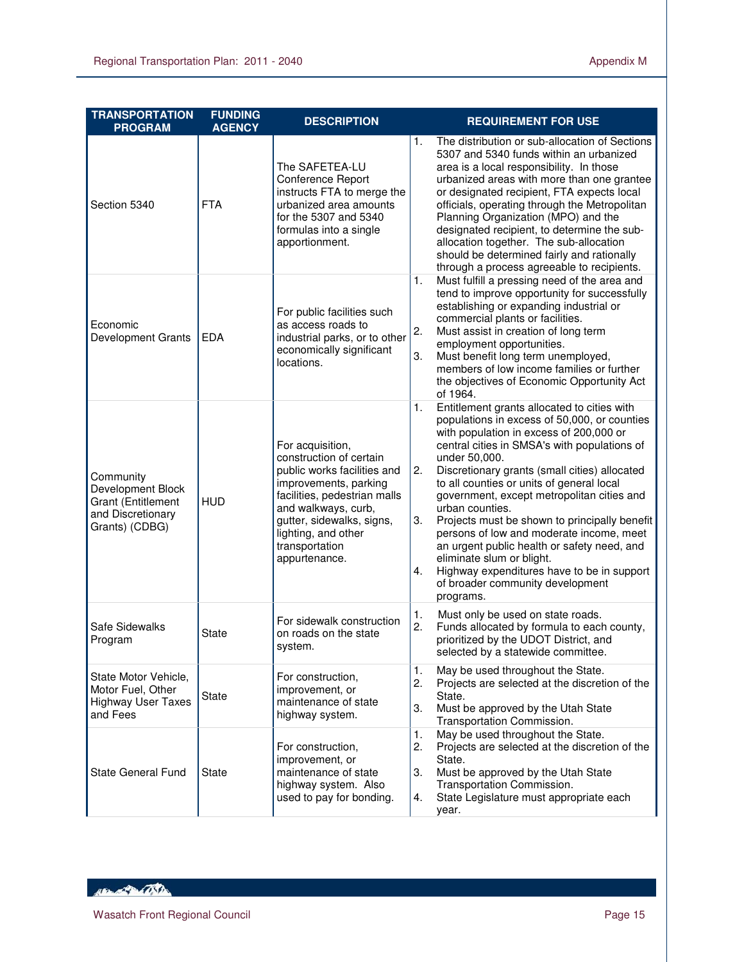| <b>TRANSPORTATION</b><br><b>PROGRAM</b>                                                            | <b>FUNDING</b><br><b>AGENCY</b> | <b>DESCRIPTION</b>                                                                                                                                                                                                                                | <b>REQUIREMENT FOR USE</b>                                                                                                                                                                                                                                                                                                                                                                                                                                                                                                                                                                                                                                             |
|----------------------------------------------------------------------------------------------------|---------------------------------|---------------------------------------------------------------------------------------------------------------------------------------------------------------------------------------------------------------------------------------------------|------------------------------------------------------------------------------------------------------------------------------------------------------------------------------------------------------------------------------------------------------------------------------------------------------------------------------------------------------------------------------------------------------------------------------------------------------------------------------------------------------------------------------------------------------------------------------------------------------------------------------------------------------------------------|
| Section 5340                                                                                       | <b>FTA</b>                      | The SAFETEA-LU<br>Conference Report<br>instructs FTA to merge the<br>urbanized area amounts<br>for the 5307 and 5340<br>formulas into a single<br>apportionment.                                                                                  | The distribution or sub-allocation of Sections<br>1.<br>5307 and 5340 funds within an urbanized<br>area is a local responsibility. In those<br>urbanized areas with more than one grantee<br>or designated recipient, FTA expects local<br>officials, operating through the Metropolitan<br>Planning Organization (MPO) and the<br>designated recipient, to determine the sub-<br>allocation together. The sub-allocation<br>should be determined fairly and rationally<br>through a process agreeable to recipients.                                                                                                                                                  |
| Economic<br>Development Grants                                                                     | <b>EDA</b>                      | For public facilities such<br>as access roads to<br>industrial parks, or to other<br>economically significant<br>locations.                                                                                                                       | 1.<br>Must fulfill a pressing need of the area and<br>tend to improve opportunity for successfully<br>establishing or expanding industrial or<br>commercial plants or facilities.<br>2.<br>Must assist in creation of long term<br>employment opportunities.<br>Must benefit long term unemployed,<br>3.<br>members of low income families or further<br>the objectives of Economic Opportunity Act<br>of 1964.                                                                                                                                                                                                                                                        |
| Community<br>Development Block<br><b>Grant (Entitlement</b><br>and Discretionary<br>Grants) (CDBG) | <b>HUD</b>                      | For acquisition,<br>construction of certain<br>public works facilities and<br>improvements, parking<br>facilities, pedestrian malls<br>and walkways, curb,<br>gutter, sidewalks, signs,<br>lighting, and other<br>transportation<br>appurtenance. | Entitlement grants allocated to cities with<br>1.<br>populations in excess of 50,000, or counties<br>with population in excess of 200,000 or<br>central cities in SMSA's with populations of<br>under 50,000.<br>2.<br>Discretionary grants (small cities) allocated<br>to all counties or units of general local<br>government, except metropolitan cities and<br>urban counties.<br>3.<br>Projects must be shown to principally benefit<br>persons of low and moderate income, meet<br>an urgent public health or safety need, and<br>eliminate slum or blight.<br>Highway expenditures have to be in support<br>4.<br>of broader community development<br>programs. |
| Safe Sidewalks<br>Program                                                                          | <b>State</b>                    | For sidewalk construction<br>on roads on the state<br>system.                                                                                                                                                                                     | Must only be used on state roads.<br>1.<br>2.<br>Funds allocated by formula to each county,<br>prioritized by the UDOT District, and<br>selected by a statewide committee.                                                                                                                                                                                                                                                                                                                                                                                                                                                                                             |
| State Motor Vehicle,<br>Motor Fuel, Other<br><b>Highway User Taxes</b><br>and Fees                 | State                           | For construction,<br>improvement, or<br>maintenance of state<br>highway system.                                                                                                                                                                   | 1.<br>May be used throughout the State.<br>2.<br>Projects are selected at the discretion of the<br>State.<br>3.<br>Must be approved by the Utah State<br>Transportation Commission.                                                                                                                                                                                                                                                                                                                                                                                                                                                                                    |
| State General Fund                                                                                 | State                           | For construction,<br>improvement, or<br>maintenance of state<br>highway system. Also<br>used to pay for bonding.                                                                                                                                  | 1.<br>May be used throughout the State.<br>Projects are selected at the discretion of the<br>2.<br>State.<br>3.<br>Must be approved by the Utah State<br>Transportation Commission.<br>State Legislature must appropriate each<br>4.<br>year.                                                                                                                                                                                                                                                                                                                                                                                                                          |

HELL OF THE TABLE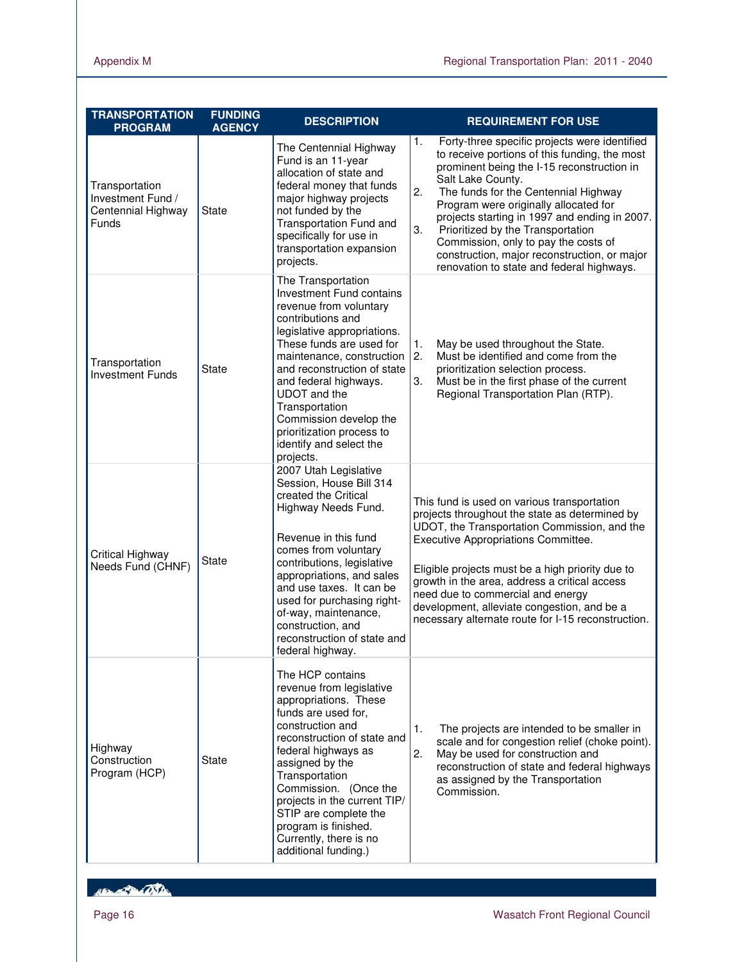| <b>TRANSPORTATION</b><br><b>PROGRAM</b>                                   | <b>FUNDING</b><br><b>AGENCY</b> | <b>DESCRIPTION</b>                                                                                                                                                                                                                                                                                                                                                                    | <b>REQUIREMENT FOR USE</b>                                                                                                                                                                                                                                                                                                                                                                                                                                                                      |
|---------------------------------------------------------------------------|---------------------------------|---------------------------------------------------------------------------------------------------------------------------------------------------------------------------------------------------------------------------------------------------------------------------------------------------------------------------------------------------------------------------------------|-------------------------------------------------------------------------------------------------------------------------------------------------------------------------------------------------------------------------------------------------------------------------------------------------------------------------------------------------------------------------------------------------------------------------------------------------------------------------------------------------|
| Transportation<br>Investment Fund /<br>Centennial Highway<br><b>Funds</b> | State                           | The Centennial Highway<br>Fund is an 11-year<br>allocation of state and<br>federal money that funds<br>major highway projects<br>not funded by the<br>Transportation Fund and<br>specifically for use in<br>transportation expansion<br>projects.                                                                                                                                     | Forty-three specific projects were identified<br>1.<br>to receive portions of this funding, the most<br>prominent being the I-15 reconstruction in<br>Salt Lake County.<br>2.<br>The funds for the Centennial Highway<br>Program were originally allocated for<br>projects starting in 1997 and ending in 2007.<br>3.<br>Prioritized by the Transportation<br>Commission, only to pay the costs of<br>construction, major reconstruction, or major<br>renovation to state and federal highways. |
| Transportation<br><b>Investment Funds</b>                                 | <b>State</b>                    | The Transportation<br><b>Investment Fund contains</b><br>revenue from voluntary<br>contributions and<br>legislative appropriations.<br>These funds are used for<br>maintenance, construction<br>and reconstruction of state<br>and federal highways.<br>UDOT and the<br>Transportation<br>Commission develop the<br>prioritization process to<br>identify and select the<br>projects. | 1.<br>May be used throughout the State.<br>2.<br>Must be identified and come from the<br>prioritization selection process.<br>Must be in the first phase of the current<br>3.<br>Regional Transportation Plan (RTP).                                                                                                                                                                                                                                                                            |
| Critical Highway<br>Needs Fund (CHNF)                                     | <b>State</b>                    | 2007 Utah Legislative<br>Session, House Bill 314<br>created the Critical<br>Highway Needs Fund.<br>Revenue in this fund<br>comes from voluntary<br>contributions, legislative<br>appropriations, and sales<br>and use taxes. It can be<br>used for purchasing right-<br>of-way, maintenance,<br>construction, and<br>reconstruction of state and<br>federal highway.                  | This fund is used on various transportation<br>projects throughout the state as determined by<br>UDOT, the Transportation Commission, and the<br>Executive Appropriations Committee.<br>Eligible projects must be a high priority due to<br>growth in the area, address a critical access<br>need due to commercial and energy<br>development, alleviate congestion, and be a<br>necessary alternate route for I-15 reconstruction.                                                             |
| Highway<br>Construction<br>Program (HCP)                                  | <b>State</b>                    | The HCP contains<br>revenue from legislative<br>appropriations. These<br>funds are used for,<br>construction and<br>reconstruction of state and<br>federal highways as<br>assigned by the<br>Transportation<br>Commission. (Once the<br>projects in the current TIP/<br>STIP are complete the<br>program is finished.<br>Currently, there is no<br>additional funding.)               | The projects are intended to be smaller in<br>1.<br>scale and for congestion relief (choke point).<br>2.<br>May be used for construction and<br>reconstruction of state and federal highways<br>as assigned by the Transportation<br>Commission.                                                                                                                                                                                                                                                |

REAL PROPERTY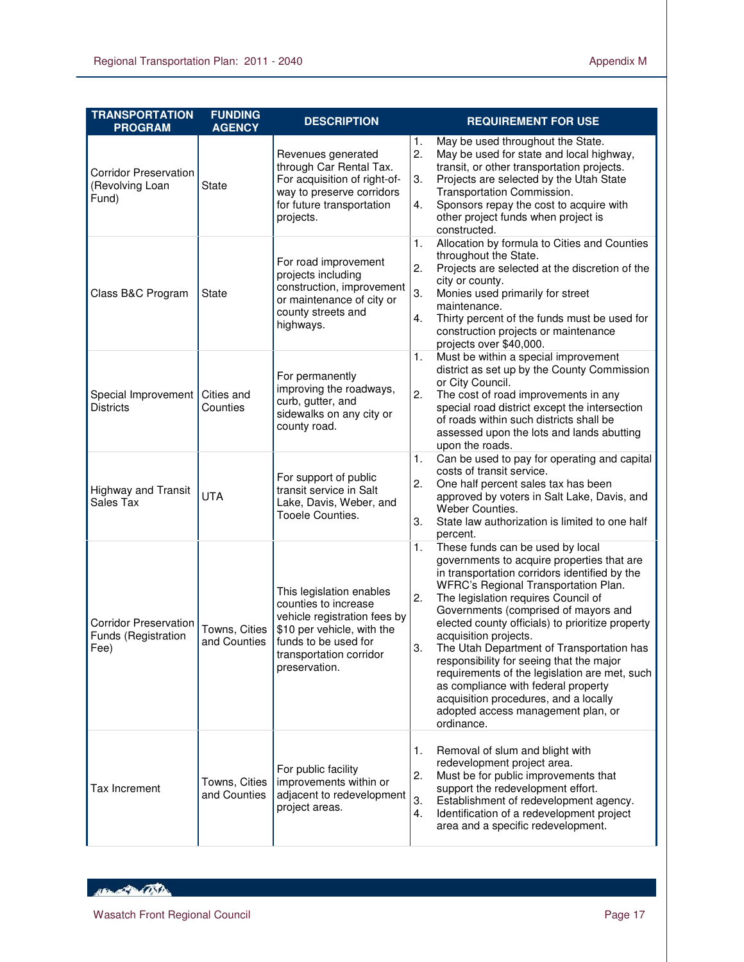| <b>TRANSPORTATION</b><br><b>PROGRAM</b>                     | <b>FUNDING</b><br><b>AGENCY</b> | <b>DESCRIPTION</b>                                                                                                                                                                 | <b>REQUIREMENT FOR USE</b>                                                                                                                                                                                                                                                                                                                                                                                                                                                                                                                                                                                                          |
|-------------------------------------------------------------|---------------------------------|------------------------------------------------------------------------------------------------------------------------------------------------------------------------------------|-------------------------------------------------------------------------------------------------------------------------------------------------------------------------------------------------------------------------------------------------------------------------------------------------------------------------------------------------------------------------------------------------------------------------------------------------------------------------------------------------------------------------------------------------------------------------------------------------------------------------------------|
| <b>Corridor Preservation</b><br>(Revolving Loan<br>Fund)    | <b>State</b>                    | Revenues generated<br>through Car Rental Tax.<br>For acquisition of right-of-<br>way to preserve corridors<br>for future transportation<br>projects.                               | May be used throughout the State.<br>1.<br>2.<br>May be used for state and local highway,<br>transit, or other transportation projects.<br>3.<br>Projects are selected by the Utah State<br>Transportation Commission.<br>Sponsors repay the cost to acquire with<br>4.<br>other project funds when project is<br>constructed.                                                                                                                                                                                                                                                                                                      |
| Class B&C Program                                           | <b>State</b>                    | For road improvement<br>projects including<br>construction, improvement<br>or maintenance of city or<br>county streets and<br>highways.                                            | Allocation by formula to Cities and Counties<br>1.<br>throughout the State.<br>2.<br>Projects are selected at the discretion of the<br>city or county.<br>3.<br>Monies used primarily for street<br>maintenance.<br>Thirty percent of the funds must be used for<br>4.<br>construction projects or maintenance<br>projects over \$40,000.                                                                                                                                                                                                                                                                                           |
| Special Improvement<br><b>Districts</b>                     | Cities and<br>Counties          | For permanently<br>improving the roadways,<br>curb, gutter, and<br>sidewalks on any city or<br>county road.                                                                        | Must be within a special improvement<br>1.<br>district as set up by the County Commission<br>or City Council.<br>2.<br>The cost of road improvements in any<br>special road district except the intersection<br>of roads within such districts shall be<br>assessed upon the lots and lands abutting<br>upon the roads.                                                                                                                                                                                                                                                                                                             |
| <b>Highway and Transit</b><br>Sales Tax                     | <b>UTA</b>                      | For support of public<br>transit service in Salt<br>Lake, Davis, Weber, and<br>Tooele Counties.                                                                                    | Can be used to pay for operating and capital<br>1.<br>costs of transit service.<br>2.<br>One half percent sales tax has been<br>approved by voters in Salt Lake, Davis, and<br>Weber Counties.<br>3.<br>State law authorization is limited to one half<br>percent.                                                                                                                                                                                                                                                                                                                                                                  |
| <b>Corridor Preservation</b><br>Funds (Registration<br>Fee) | Towns, Cities<br>and Counties   | This legislation enables<br>counties to increase<br>vehicle registration fees by<br>\$10 per vehicle, with the<br>funds to be used for<br>transportation corridor<br>preservation. | These funds can be used by local<br>1.<br>governments to acquire properties that are<br>in transportation corridors identified by the<br>WFRC's Regional Transportation Plan.<br>2.<br>The legislation requires Council of<br>Governments (comprised of mayors and<br>elected county officials) to prioritize property<br>acquisition projects.<br>3.<br>The Utah Department of Transportation has<br>responsibility for seeing that the major<br>requirements of the legislation are met, such<br>as compliance with federal property<br>acquisition procedures, and a locally<br>adopted access management plan, or<br>ordinance. |
| Tax Increment                                               | Towns, Cities<br>and Counties   | For public facility<br>improvements within or<br>adjacent to redevelopment<br>project areas.                                                                                       | Removal of slum and blight with<br>1.<br>redevelopment project area.<br>Must be for public improvements that<br>2.<br>support the redevelopment effort.<br>3.<br>Establishment of redevelopment agency.<br>4.<br>Identification of a redevelopment project<br>area and a specific redevelopment.                                                                                                                                                                                                                                                                                                                                    |

HEL AND CONTRACTOR